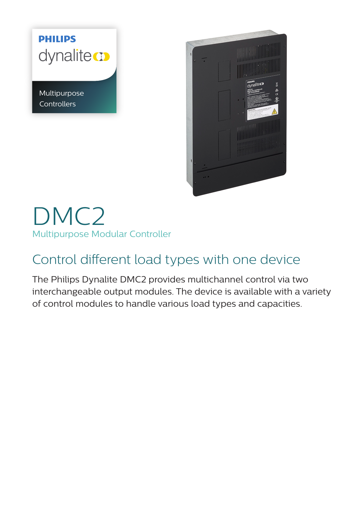## **PHILIPS** dynalite co

Multipurpose **Controllers** 



DMC2 Multipurpose Modular Controller

## Control different load types with one device

The Philips Dynalite DMC2 provides multichannel control via two interchangeable output modules. The device is available with a variety of control modules to handle various load types and capacities.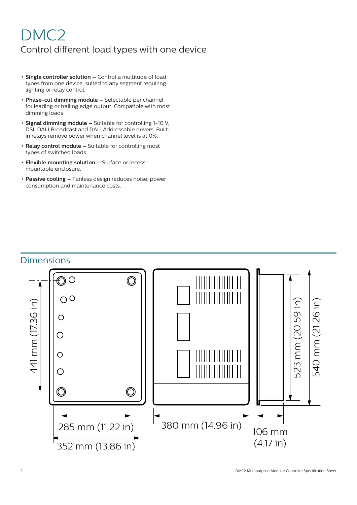## DMC2 Control different load types with one device

- **• Single controller solution –** Control a multitude of load types from one device, suited to any segment requiring lighting or relay control.
- **• Phase-cut dimming module –** Selectable per channel for leading or trailing edge output. Compatible with most dimming loads.
- **• Signal dimming module –** Suitable for controlling 1-10 V, DSI, DALI Broadcast and DALI Addressable drivers. Builtin relays remove power when channel level is at 0%.
- **• Relay control module –** Suitable for controlling most types of switched loads.
- **• Flexible mounting solution –** Surface or recess mountable enclosure.
- **• Passive cooling –** Fanless design reduces noise, power consumption and maintenance costs.

### **Dimensions**

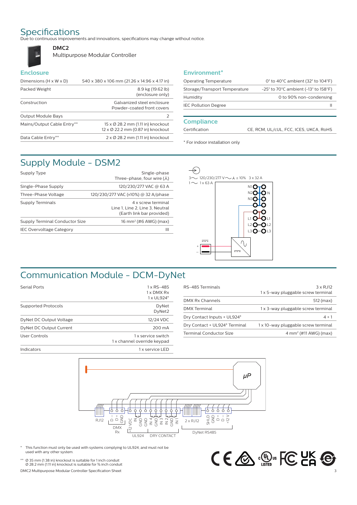**DMC2**

Specifications<br>Due to continuous improvements and innovations, specifications may change without notice.



Multipurpose Modular Controller

#### **Enclosure**

 $\mathsf{u}$ 

| Dimensions $(H \times W \times D)$ | 540 x 380 x 106 mm (21.26 x 14.96 x 4.17 in)                           |
|------------------------------------|------------------------------------------------------------------------|
| Packed Weight                      | 8.9 kg (19.62 lb)<br>(enclosure only)                                  |
| Construction                       | Galvanized steel enclosure<br>Powder-coated front covers               |
| Output Module Bays                 | 2                                                                      |
| Mains/Output Cable Entry**         | 15 x Ø 28.2 mm (1.11 in) knockout<br>12 x Ø 22.2 mm (0.87 in) knockout |
| Data Cable Entry**                 | $2 \times \emptyset$ 28.2 mm (1.11 in) knockout                        |

#### **Environment\***

| <b>Operating Temperature</b>        | 0 $\degree$ to 40 $\degree$ C ambient (32 $\degree$ to 104 $\degree$ F)       |
|-------------------------------------|-------------------------------------------------------------------------------|
| Storage/Transport Temperature       | $-25^{\circ}$ to 70 $^{\circ}$ C ambient (-13 $^{\circ}$ to 158 $^{\circ}$ F) |
| 0 to 90% non-condensing<br>Humidity |                                                                               |
| <b>IEC Pollution Degree</b>         |                                                                               |
|                                     |                                                                               |

#### **Compliance**

Certification CE, RCM, UL/cUL, FCC, ICES, UKCA, RoHS

\* For indoor installation only

## Supply Module - DSM2

| Supply Type                     | Single-phase<br>Three-phase, four wire $(\lambda)$                                 |
|---------------------------------|------------------------------------------------------------------------------------|
| Single-Phase Supply             | 120/230/277 VAC @ 63 A                                                             |
| Three-Phase Voltage             | 120/230/277 VAC (±10%) @ 32 A/phase                                                |
| Supply Terminals                | 4 x screw terminal<br>Line 1, Line 2, Line 3, Neutral<br>(Earth link bar provided) |
| Supply Terminal Conductor Size  | 16 mm <sup>2</sup> (#6 AWG) (max)                                                  |
| <b>IEC Overvoltage Category</b> | Ш                                                                                  |
|                                 |                                                                                    |



## Communication Module - DCM-DyNet

| <b>Serial Ports</b>        | 1 x RS-485<br>1 x DMX Rx<br>1 x UL924*            |
|----------------------------|---------------------------------------------------|
| <b>Supported Protocols</b> | DyNet<br>DyNet2                                   |
| DyNet DC Output Voltage    | 12/24 VDC                                         |
| DyNet DC Output Current    | 200 mA                                            |
| User Controls              | 1 x service switch<br>1 x channel override keypad |
| Indicators                 | 1 x service LED                                   |

| RS-485 Terminals               | $3 \times RJ12$<br>1 x 5-way pluggable screw terminal |
|--------------------------------|-------------------------------------------------------|
| DMX Rx Channels                | 512 (max)                                             |
| <b>DMX Terminal</b>            | 1 x 3-way pluggable screw terminal                    |
| Dry Contact Inputs + UL924*    | $4 + 1$                                               |
| Dry Contact + UL924* Terminal  | 1 x 10-way pluggable screw terminal                   |
| <b>Terminal Conductor Size</b> | $4 \text{ mm}^2$ (#11 AWG) (max)                      |



This function must only be used with systems complying to UL924, and must not be used with any other system.

\*\* Ø 35 mm (1.38 in) knockout is suitable for 1 inch conduit Ø 28.2 mm (1.11 in) knockout is suitable for ¾ inch conduit

DMC2 Multipurpose Modular Controller Specification Sheet

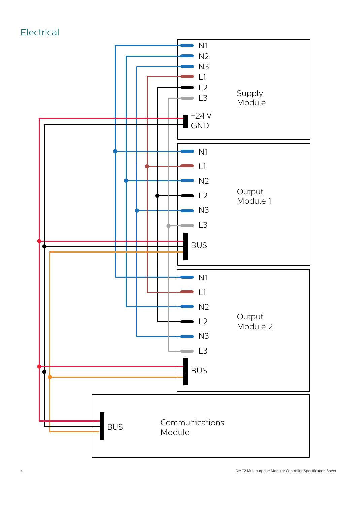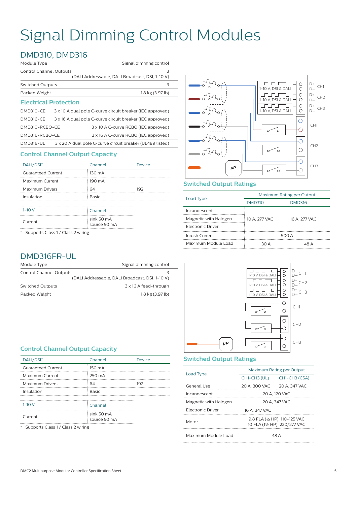## Signal Dimming Control Modules

## DMD310, DMD316

| Module Type                    | Signal dimming control                                    |
|--------------------------------|-----------------------------------------------------------|
| <b>Control Channel Outputs</b> | 3<br>(DALI Addressable, DALI Broadcast, DSI, 1-10 V)      |
| <b>Switched Outputs</b>        | 3                                                         |
| Packed Weight                  | 1.8 kg (3.97 lb)                                          |
| <b>Electrical Protection</b>   |                                                           |
| <b>DMD310-CE</b>               | 3 x 10 A dual pole C-curve circuit breaker (IEC approved) |
| DMD316-CE                      | 3 x 16 A dual pole C-curve circuit breaker (IEC approved) |
| DMD310-RCBO-CE                 | 3 x 10 A C-curve RCBO (IEC approved)                      |
| DMD316-RCBO-CE                 | 3 x 16 A C-curve RCBO (IEC approved)                      |
| <b>DMD316-UL</b>               | 3 x 20 A dual pole C-curve circuit breaker (UL489 listed) |

#### **Control Channel Output Capacity**

| Channel                    | <b>Device</b> |  |
|----------------------------|---------------|--|
| 130 mA                     |               |  |
| 190 mA                     |               |  |
| 64                         | 192           |  |
| <b>Basic</b>               |               |  |
|                            |               |  |
| Channel                    |               |  |
| sink 50 mA<br>source 50 mA |               |  |
|                            |               |  |

\* Supports Class 1 / Class 2 wiring

#### 1-10 V, DSI & DALI  $\begin{array}{c|c} \hline \circ \\ \hline \circ \end{array}$  $D+$ CH1  $D \circ$ <u>Juni Tu</u>  $D+$ CH2  $1-10$  V, DSI & DALI  $D \frac{0}{0}$ **Julius** ı D+ CH3  $-10$  V, DSI & DAL  $D \overline{\bigcirc}$ CH1 Ő  $\sim$  $\overline{\bigcirc}$ CH2  $\overline{\circ}$  $\sim$ Ő CH3 *µP*  $\sim$ Ċ

#### **Switched Output Ratings**

| Load Type                | Maximum Rating per Output |               |
|--------------------------|---------------------------|---------------|
|                          | <b>DMD310</b>             | <b>DMD316</b> |
| Incandescent             |                           |               |
| Magnetic with Halogen    | 10 A. 277 VAC             | 16 A. 277 VAC |
| <b>Electronic Driver</b> |                           |               |
| Inrush Current           | 500 A                     |               |
| Maximum Module Load      | 30 A                      | 48 A          |

### DMD316FR-UL

| Module Type             | Signal dimming control                          |
|-------------------------|-------------------------------------------------|
| Control Channel Outputs | 3                                               |
|                         | (DALI Addressable, DALI Broadcast, DSI, 1-10 V) |
| Switched Outputs        | 3 x 16 A feed-through                           |
| Packed Weight           | 1.8 kg (3.97 lb)                                |

#### **Control Channel Output Capacity**

| DALI/DSI*                         | Channel                    | Device |
|-----------------------------------|----------------------------|--------|
| <b>Guaranteed Current</b>         | 150 mA                     |        |
| Maximum Current                   | 250 mA                     |        |
| <b>Maximum Drivers</b>            | 64                         | 192    |
| Insulation                        | <b>Basic</b>               |        |
|                                   |                            |        |
| $1 - 10V$                         | Channel                    |        |
| Current                           | sink 50 mA<br>source 50 mA |        |
| Supports Class 1 / Class 2 wiring |                            |        |

![](_page_4_Figure_13.jpeg)

#### **Switched Output Ratings**

| Load Type             | Maximum Rating per Output                                      |               |
|-----------------------|----------------------------------------------------------------|---------------|
|                       | CH1-CH3 (UL)                                                   | CH1-CH3 (CSA) |
| General Use           | 20 A. 300 VAC                                                  | 20 A, 347 VAC |
| Incandescent          | 20 A. 120 VAC                                                  |               |
| Magnetic with Halogen | 20 A. 347 VAC                                                  |               |
| Electronic Driver     | 16 A. 347 VAC                                                  |               |
| Motor                 | 9.8 FLA (1/2 HP), 110-125 VAC<br>10 FLA (11/2 HP), 220/277 VAC |               |
| Maximum Module Load   |                                                                | 48 A          |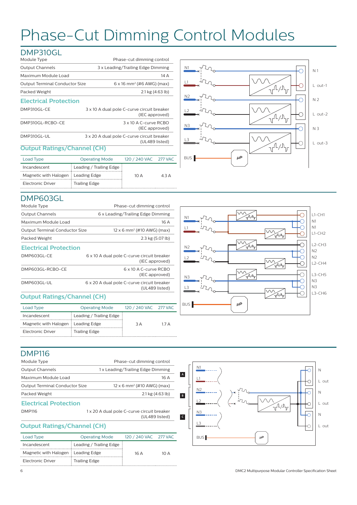# Phase-Cut Dimming Control Modules

### DMP310GL

| Module Type                           | Phase-cut dimming control                                    |
|---------------------------------------|--------------------------------------------------------------|
| <b>Output Channels</b>                | 3 x Leading/Trailing Edge Dimming                            |
| Maximum Module Load                   | 14 A                                                         |
| <b>Output Terminal Conductor Size</b> | $6 \times 16$ mm <sup>2</sup> (#6 AWG) (max)                 |
| Packed Weight                         | $2.1 \text{ kg}$ (4.63 lb)                                   |
| <b>Electrical Protection</b>          |                                                              |
| DMP310GL-CE                           | 3 x 10 A dual pole C-curve circuit breaker<br>(IEC approved) |
| DMP310GL-RCBO-CE                      | 3 x 10 A C-curve RCBO<br>(IEC approved)                      |
| DMP310GL-UL                           | 3 x 20 A dual pole C-curve circuit breaker<br>(UL489 listed) |

#### **Output Ratings/Channel (CH)**

| Load Type                            | <b>Operating Mode</b>   | 120 / 240 VAC 277 VAC |                           |
|--------------------------------------|-------------------------|-----------------------|---------------------------|
| Incandescent                         | Leading / Trailing Edge |                       |                           |
| Magnetic with Halogen : Leading Edge |                         | 10 A                  | $\triangle$ 3 $\triangle$ |
| Electronic Driver                    | <b>Trailing Edge</b>    |                       |                           |

![](_page_5_Figure_5.jpeg)

#### DMP603GL

| Module Type                        | Phase-cut dimming control                                    |
|------------------------------------|--------------------------------------------------------------|
| <b>Output Channels</b>             | 6 x Leading/Trailing Edge Dimming                            |
| Maximum Module Load                | 16 A                                                         |
| Output Terminal Conductor Size     | $12 \times 6$ mm <sup>2</sup> (#10 AWG) (max)                |
| Packed Weight                      | 2.3 kg (5.07 lb)                                             |
| <b>Electrical Protection</b>       |                                                              |
| DMP603GL-CE                        | 6 x 10 A dual pole C-curve circuit breaker<br>(IEC approved) |
| DMP603GL-RCBO-CE                   | 6 x 10 A C-curve RCBO<br>(IEC approved)                      |
| DMP603GL-UL                        | 6 x 20 A dual pole C-curve circuit breaker<br>(UL489 listed) |
| <b>Output Ratings/Channel (CH)</b> |                                                              |

#### **Output Ratings/Channel (CH)**

| Load Type                            | <b>Operating Mode</b>   | 120 / 240 VAC 277 VAC |      |
|--------------------------------------|-------------------------|-----------------------|------|
| Incandescent                         | Leading / Trailing Edge |                       |      |
| Magnetic with Halogen   Leading Edge |                         | 3 A                   | 17 A |
| Electronic Driver                    | Trailing Edge           |                       |      |

![](_page_5_Figure_10.jpeg)

### DMP116

| Phase-cut dimming control                                                              |  |
|----------------------------------------------------------------------------------------|--|
| 1 x Leading/Trailing Edge Dimming                                                      |  |
| 16 A                                                                                   |  |
| $12 \times 6$ mm <sup>2</sup> (#10 AWG) (max)<br><b>Output Terminal Conductor Size</b> |  |
| $2.1 \text{ kg} (4.63 \text{ lb})$                                                     |  |
|                                                                                        |  |
| 1 x 20 A dual pole C-curve circuit breaker<br>(UL489 listed)                           |  |
|                                                                                        |  |

#### **Output Ratings/Channel (CH)**

| <b>Operating Mode</b>                |     |                       |
|--------------------------------------|-----|-----------------------|
| Leading / Trailing Edge              |     |                       |
| Magnetic with Halogen : Leading Edge | 16A | 1N A                  |
| <b>Trailing Edge</b>                 |     |                       |
|                                      |     | 120 / 240 VAC 277 VAC |

![](_page_5_Figure_15.jpeg)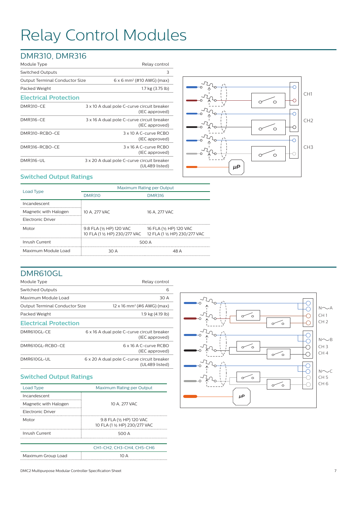# Relay Control Modules

## DMR310, DMR316

| Module Type                           | Relay control                                                |
|---------------------------------------|--------------------------------------------------------------|
| <b>Switched Outputs</b>               | 3                                                            |
| <b>Output Terminal Conductor Size</b> | $6 \times 6$ mm <sup>2</sup> (#10 AWG) (max)                 |
| Packed Weight                         | 1.7 kg (3.75 lb)                                             |
| <b>Electrical Protection</b>          |                                                              |
| <b>DMR310-CE</b>                      | 3 x 10 A dual pole C-curve circuit breaker<br>(IEC approved) |
| <b>DMR316-CE</b>                      | 3 x 16 A dual pole C-curve circuit breaker<br>(IEC approved) |
| DMR310-RCBO-CE                        | 3 x 10 A C-curve RCBO<br>(IEC approved)                      |
| DMR316-RCBO-CE                        | 3 x 16 A C-curve RCBO<br>(IEC approved)                      |
| <b>DMR316-UL</b>                      | 3 x 20 A dual pole C-curve circuit breaker<br>(UL489 listed) |

![](_page_6_Figure_3.jpeg)

#### **Switched Output Ratings**

|                       | Maximum Rating per Output                                                               |                         |  |
|-----------------------|-----------------------------------------------------------------------------------------|-------------------------|--|
| Load Type             | <b>DMR310</b>                                                                           | <b>DMR316</b>           |  |
| Incandescent          |                                                                                         |                         |  |
| Magnetic with Halogen | 10 A. 277 VAC                                                                           | 16 A. 277 VAC           |  |
| Electronic Driver     |                                                                                         |                         |  |
| Motor                 | 9.8 FLA (1/2 HP) 120 VAC<br>10 FLA (1 1/2 HP) 230/277 VAC 12 FLA (1 1/2 HP) 230/277 VAC | 16 FLA (1/2 HP) 120 VAC |  |
| Inrush Current        | 500 A                                                                                   |                         |  |
| Maximum Module Load   | 30 A                                                                                    | 48 A                    |  |

#### DMR610GL

| Module Type                           | Relay control                                                |
|---------------------------------------|--------------------------------------------------------------|
| <b>Switched Outputs</b>               | 6                                                            |
| Maximum Module Load                   | 30 A                                                         |
| <b>Output Terminal Conductor Size</b> | $12 \times 16$ mm <sup>2</sup> (#6 AWG) (max)                |
| Packed Weight                         | 1.9 kg (4.19 lb)                                             |
| <b>Electrical Protection</b>          |                                                              |
| DMR610GL-CE                           | 6 x 16 A dual pole C-curve circuit breaker<br>(IEC approved) |
| DMR610GL-RCBO-CE                      | 6 x 16 A C-curve RCBO<br>(IEC approved)                      |
| DMR610GL-UL                           | 6 x 20 A dual pole C-curve circuit breaker<br>(UL489 listed) |
|                                       |                                                              |

#### **Switched Output Ratings**

| Load Type                | Maximum Rating per Output                                 |
|--------------------------|-----------------------------------------------------------|
| Incandescent             |                                                           |
| Magnetic with Halogen    | 10 A. 277 VAC                                             |
| <b>Electronic Driver</b> |                                                           |
| Motor                    | 9.8 FLA (1/2 HP) 120 VAC<br>10 FLA (1 1/2 HP) 230/277 VAC |
| Inrush Current           | 500 A                                                     |
|                          |                                                           |
|                          | CH1-CH2, CH3-CH4, CH5-CH6                                 |
| Maximum Group Load       | 1N A                                                      |

![](_page_6_Figure_10.jpeg)

DMC2 Multipurpose Modular Controller Specification Sheet 7 7 3 2006 7 3 2006 7 7 3 2006 7 3 2006 7 7 7 3 2006 7 4 3 2006 7 7 3 2006 7 7 3 2006 7 7 3 2006 7 7 3 2006 7 7 7 2006 7 7 2006 7 7 7 2006 7 7 2006 7 7 7 2006 7 7 20